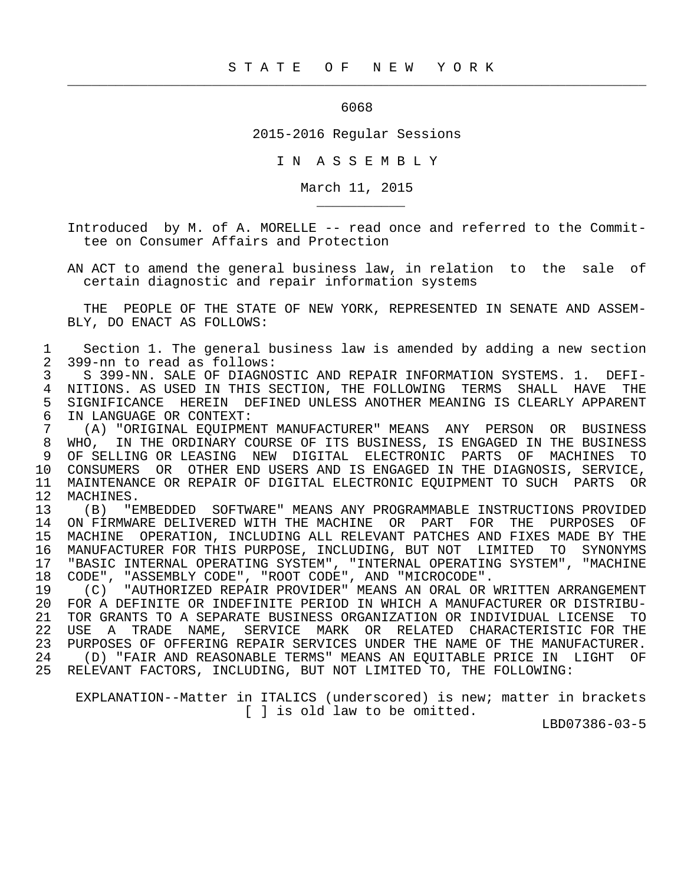## <u>6068</u> (1990) 1990 (1990) 1990 (1990) 1990 (1990) 1990 (1990) 1990 (1990) 1990 (1990) 1990 (1990) 1990 (1990) 1990 (1990) 1990 (1990) 1990 (1990) 1990 (1990) 1990 (1990) 1990 (1990) 1990 (1990) 1990 (1990) 1990 (1990) 1990

 $\frac{1}{2}$  , and the contribution of the contribution of the contribution of the contribution of the contribution of the contribution of the contribution of the contribution of the contribution of the contribution of the c

\_\_\_\_\_\_\_\_\_\_\_

2015-2016 Regular Sessions

I N A S S E M B L Y

March 11, 2015

 Introduced by M. of A. MORELLE -- read once and referred to the Commit tee on Consumer Affairs and Protection

 AN ACT to amend the general business law, in relation to the sale of certain diagnostic and repair information systems

 THE PEOPLE OF THE STATE OF NEW YORK, REPRESENTED IN SENATE AND ASSEM- BLY, DO ENACT AS FOLLOWS:

1 Section 1. The general business law is amended by adding a new section<br>2 399-nn to read as follows: 2 399-nn to read as follows:

3 S 399-NN. SALE OF DIAGNOSTIC AND REPAIR INFORMATION SYSTEMS. 1. DEFI-<br>4 NITIONS, AS USED IN THIS SECTION, THE FOLLOWING TERMS SHALL HAVE THE 4 NITIONS. AS USED IN THIS SECTION, THE FOLLOWING TERMS SHALL HAVE THE<br>5 SIGNIFICANCE HEREIN DEFINED UNLESS ANOTHER MEANING IS CLEARLY APPARENT 5 SIGNIFICANCE HEREIN DEFINED UNLESS ANOTHER MEANING IS CLEARLY APPARENT 6 IN LANGUAGE OR CONTEXT:

 7 (A) "ORIGINAL EQUIPMENT MANUFACTURER" MEANS ANY PERSON OR BUSINESS 8 WHO, IN THE ORDINARY COURSE OF ITS BUSINESS, IS ENGAGED IN THE BUSINESS<br>9 OF SELLING OR LEASING NEW DIGITAL ELECTRONIC PARTS OF MACHINES TO 9 OF SELLING OR LEASING NEW DIGITAL ELECTRONIC PARTS OF MACHINES TO 10 CONSUMERS OR OTHER END USERS AND IS ENGAGED IN THE DIAGNOSIS, SERVICE, 11 MAINTENANCE OR REPAIR OF DIGITAL ELECTRONIC EQUIPMENT TO SUCH PARTS OR<br>12 MACHINES. 12 MACHINES.<br>13 (B) "E

 13 (B) "EMBEDDED SOFTWARE" MEANS ANY PROGRAMMABLE INSTRUCTIONS PROVIDED 14 ON FIRMWARE DELIVERED WITH THE MACHINE OR PART FOR THE PURPOSES OF 15 MACHINE OPERATION, INCLUDING ALL RELEVANT PATCHES AND FIXES MADE BY THE 16 MANUFACTURER FOR THIS PURPOSE, INCLUDING, BUT NOT LIMITED TO SYNONYMS 17 "BASIC INTERNAL OPERATING SYSTEM", "INTERNAL OPERATING SYSTEM", "MACHINE 18 CODE", "ASSEMBLY CODE", "ROOT CODE", AND "MICROCODE".

19 (C) "AUTHORIZED REPAIR PROVIDER" MEANS AN ORAL OR WRITTEN ARRANGEMENT<br>20 FOR A DEFINITE OR INDEFINITE PERIOD IN WHICH A MANUFACTURER OR DISTRIBU- 20 FOR A DEFINITE OR INDEFINITE PERIOD IN WHICH A MANUFACTURER OR DISTRIBU- 21 TOR GRANTS TO A SEPARATE BUSINESS ORGANIZATION OR INDIVIDUAL LICENSE TO 22 USE A TRADE NAME, SERVICE MARK OR RELATED CHARACTERISTIC FOR THE 23 PURPOSES OF OFFERING REPAIR SERVICES UNDER THE NAME OF THE MANUFACTURER. 23 PURPOSES OF OFFERING REPAIR SERVICES UNDER THE NAME OF THE MANUFACTURER.<br>24 (D) "FAIR AND REASONABLE TERMS" MEANS AN EOUITABLE PRICE IN LIGHT OF 24 (D) "FAIR AND REASONABLE TERMS" MEANS AN EQUITABLE PRICE IN LIGHT OF<br>25 RELEVANT FACTORS, INCLUDING, BUT NOT LIMITED TO, THE FOLLOWING: RELEVANT FACTORS, INCLUDING, BUT NOT LIMITED TO, THE FOLLOWING:

 EXPLANATION--Matter in ITALICS (underscored) is new; matter in brackets [ ] is old law to be omitted.

LBD07386-03-5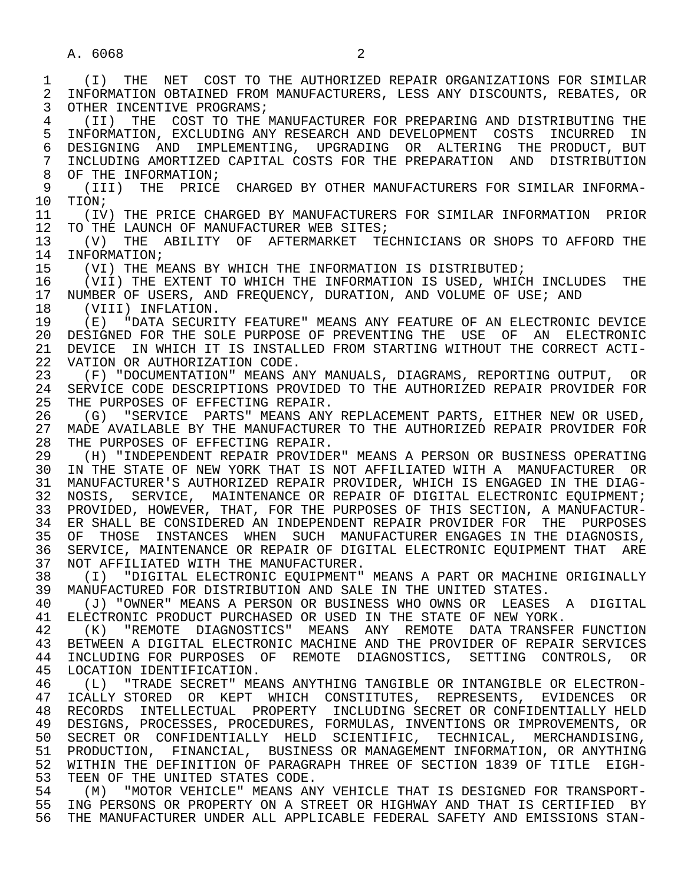1 (I) THE NET COST TO THE AUTHORIZED REPAIR ORGANIZATIONS FOR SIMILAR 2 INFORMATION OBTAINED FROM MANUFACTURERS, LESS ANY DISCOUNTS, REBATES, OR<br>3 OTHER INCENTIVE PROGRAMS; OTHER INCENTIVE PROGRAMS; 4 (II) THE COST TO THE MANUFACTURER FOR PREPARING AND DISTRIBUTING THE 5 INFORMATION, EXCLUDING ANY RESEARCH AND DEVELOPMENT COSTS INCURRED IN<br>6 DESIGNING AND IMPLEMENTING, UPGRADING OR ALTERING THE PRODUCT, BUT 6 DESIGNING AND IMPLEMENTING, UPGRADING OR ALTERING THE PRODUCT, BUT<br>7 INCLUDING AMORTIZED CAPITAL COSTS FOR THE PREPARATION AND DISTRIBUTION 7 INCLUDING AMORTIZED CAPITAL COSTS FOR THE PREPARATION AND DISTRIBUTION 8 OF THE INFORMATION; 9 (III) THE PRICE CHARGED BY OTHER MANUFACTURERS FOR SIMILAR INFORMA-<br>10 TION; 10 TION;<br>11 (IV) 11 (IV) THE PRICE CHARGED BY MANUFACTURERS FOR SIMILAR INFORMATION PRIOR<br>12 TO THE LAUNCH OF MANUFACTURER WEB SITES; 12 TO THE LAUNCH OF MANUFACTURER WEB SITES;<br>13 (V) THE ABILITY OF AFTERMARKET TE 13 (V) THE ABILITY OF AFTERMARKET TECHNICIANS OR SHOPS TO AFFORD THE 14 INFORMATION: INFORMATION; 15 (VI) THE MEANS BY WHICH THE INFORMATION IS DISTRIBUTED;<br>16 (VII) THE EXTENT TO WHICH THE INFORMATION IS USED, WHIC 16 (VII) THE EXTENT TO WHICH THE INFORMATION IS USED, WHICH INCLUDES THE 17 NUMBER OF USERS. AND FREOUENCY. DURATION. AND VOLUME OF USE; AND 17 NUMBER OF USERS, AND FREQUENCY, DURATION, AND VOLUME OF USE; AND 18 (VIII) INFLATION. 18 (VIII) INFLATION.<br>19 (E) "DATA SECURI 19 (E) "DATA SECURITY FEATURE" MEANS ANY FEATURE OF AN ELECTRONIC DEVICE<br>20 DESIGNED FOR THE SOLE PURPOSE OF PREVENTING THE USE OF AN ELECTRONIC 20 DESIGNED FOR THE SOLE PURPOSE OF PREVENTING THE USE OF AN ELECTRONIC<br>21 DEVICE IN WHICH IT IS INSTALLED FROM STARTING WITHOUT THE CORRECT ACTI-21 DEVICE IN WHICH IT IS INSTALLED FROM STARTING WITHOUT THE CORRECT ACTI-<br>22 VATION OR AUTHORIZATION CODE. 22 VATION OR AUTHORIZATION CODE.<br>23 (F) "DOCUMENTATION" MEANS A 23 (F) "DOCUMENTATION" MEANS ANY MANUALS, DIAGRAMS, REPORTING OUTPUT, OR 24 SERVICE CODE DESCRIPTIONS PROVIDED TO THE AUTHORIZED REPAIR PROVIDER FOR<br>25 THE PURPOSES OF EFFECTING REPAIR. THE PURPOSES OF EFFECTING REPAIR. 26 (G) "SERVICE PARTS" MEANS ANY REPLACEMENT PARTS, EITHER NEW OR USED, 27 MADE AVAILABLE BY THE MANUFACTURER TO THE AUTHORIZED REPAIR PROVIDER FOR<br>28 THE PURPOSES OF EFFECTING REPAIR. 28 THE PURPOSES OF EFFECTING REPAIR.<br>29 (H) "INDEPENDENT REPAIR PROVIDE! 29 (H) "INDEPENDENT REPAIR PROVIDER" MEANS A PERSON OR BUSINESS OPERATING<br>30 IN THE STATE OF NEW YORK THAT IS NOT AFFILIATED WITH A MANUFACTURER OR IN THE STATE OF NEW YORK THAT IS NOT AFFILIATED WITH A MANUFACTURER OR 31 MANUFACTURER'S AUTHORIZED REPAIR PROVIDER, WHICH IS ENGAGED IN THE DIAG-<br>32 NOSIS, SERVICE, MAINTENANCE OR REPAIR OF DIGITAL ELECTRONIC EOUIPMENT; 32 NOSIS, SERVICE, MAINTENANCE OR REPAIR OF DIGITAL ELECTRONIC EQUIPMENT;<br>33 PROVIDED, HOWEVER, THAT, FOR THE PURPOSES OF THIS SECTION, A MANUFACTUR-33 PROVIDED, HOWEVER, THAT, FOR THE PURPOSES OF THIS SECTION, A MANUFACTUR-<br>34 ER SHALL BE CONSIDERED AN INDEPENDENT REPAIR PROVIDER FOR THE PURPOSES 34 ER SHALL BE CONSIDERED AN INDEPENDENT REPAIR PROVIDER FOR THE PURPOSES<br>35 OF THOSE INSTANCES WHEN SUCH MANUFACTURER ENGAGES IN THE DIAGNOSIS, 35 OF THOSE INSTANCES WHEN SUCH MANUFACTURER ENGAGES IN THE DIAGNOSIS,<br>36 SERVICE, MAINTENANCE OR REPAIR OF DIGITAL ELECTRONIC EOUIPMENT THAT ARE 36 SERVICE, MAINTENANCE OR REPAIR OF DIGITAL ELECTRONIC EQUIPMENT THAT ARE 37 NOT AFFILIATED WITH THE MANUFACTURER.<br>38 (I) "DIGITAL ELECTRONIC EOUIPMENT" 38 (I) "DIGITAL ELECTRONIC EQUIPMENT" MEANS A PART OR MACHINE ORIGINALLY<br>39 MANUFACTURED FOR DISTRIBUTION AND SALE IN THE UNITED STATES. 39 MANUFACTURED FOR DISTRIBUTION AND SALE IN THE UNITED STATES.<br>40 (J) "OWNER" MEANS A PERSON OR BUSINESS WHO OWNS OR LEASES 40 (J) "OWNER" MEANS A PERSON OR BUSINESS WHO OWNS OR LEASES A DIGITAL<br>41 ELECTRONIC PRODUCT PURCHASED OR USED IN THE STATE OF NEW YORK 41 ELECTRONIC PRODUCT PURCHASED OR USED IN THE STATE OF NEW YORK.<br>42 (K) "REMOTE DIAGNOSTICS" MEANS ANY REMOTE DATA TRANSFE 42 (K) "REMOTE DIAGNOSTICS" MEANS ANY REMOTE DATA-TRANSFER-FUNCTION<br>43 BETWEEN A DIGITAL ELECTRONIC MACHINE AND THE PROVIDER OF REPAIR-SERVICES 43 BETWEEN A DIGITAL ELECTRONIC MACHINE AND THE PROVIDER OF REPAIR SERVICES<br>44 INCLUDING FOR PURPOSES OF REMOTE DIAGNOSTICS, SETTING CONTROLS, OR 44 INCLUDING FOR PURPOSES OF REMOTE DIAGNOSTICS, SETTING CONTROLS, OR<br>45 LOCATION IDENTIFICATION. LOCATION IDENTIFICATION. 46 (L) "TRADE SECRET" MEANS ANYTHING TANGIBLE OR INTANGIBLE OR ELECTRON- 47 ICALLY STORED OR KEPT WHICH CONSTITUTES, REPRESENTS, EVIDENCES OR 48 RECORDS INTELLECTUAL PROPERTY INCLUDING SECRET OR CONFIDENTIALLY HELD<br>49 DESIGNS, PROCESSES, PROCEDURES, FORMULAS, INVENTIONS OR IMPROVEMENTS, OR 49 DESIGNS, PROCESSES, PROCEDURES, FORMULAS, INVENTIONS OR IMPROVEMENTS, OR<br>50 SECRET OR CONFIDENTIALLY HELD SCIENTIFIC, TECHNICAL, MERCHANDISING, SECRET OR CONFIDENTIALLY HELD SCIENTIFIC, TECHNICAL, MERCHANDISING, 51 PRODUCTION, FINANCIAL, BUSINESS OR MANAGEMENT INFORMATION, OR ANYTHING 52 WITHIN THE DEFINITION OF PARAGRAPH THREE OF SECTION 1839 OF TITLE EIGH- 53 TEEN OF THE UNITED STATES CODE.<br>54 (M) "MOTOR VEHICLE" MEANS AN 54 (M) "MOTOR VEHICLE" MEANS ANY VEHICLE THAT IS DESIGNED FOR TRANSPORT-<br>55 ING PERSONS OR PROPERTY ON A STREET OR HIGHWAY AND THAT IS CERTIFIED BY ING PERSONS OR PROPERTY ON A STREET OR HIGHWAY AND THAT IS CERTIFIED BY 56 THE MANUFACTURER UNDER ALL APPLICABLE FEDERAL SAFETY AND EMISSIONS STAN-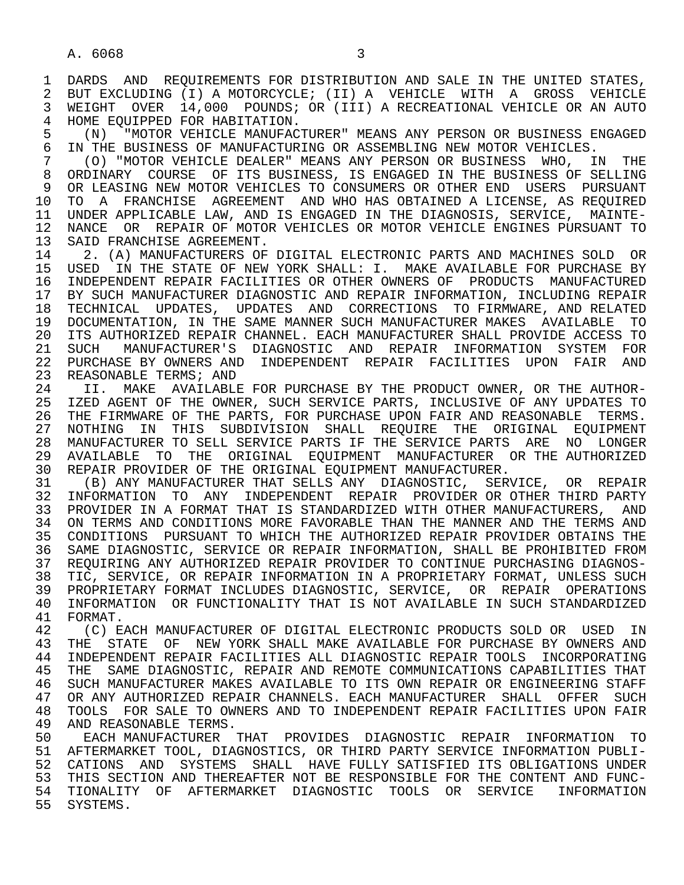1 DARDS AND REQUIREMENTS FOR DISTRIBUTION AND SALE IN THE UNITED STATES,<br>2 BUT EXCLUDING (I) A MOTORCYCLE; (II) A VEHICLE WITH A GROSS VEHICLE 2 BUT EXCLUDING (I) A MOTORCYCLE; (II) A VEHICLE WITH A GROSS VEHICLE<br>3 WEIGHT OVER 14.000 POUNDS; OR (III) A RECREATIONAL VEHICLE OR AN AUTO WEIGHT OVER 14,000 POUNDS; OR (III) A RECREATIONAL VEHICLE OR AN AUTO 4 HOME EQUIPPED FOR HABITATION.<br>5 (N) "MOTOR VEHICLE MANUFAC

5 (N) "MOTOR VEHICLE MANUFACTURER" MEANS ANY PERSON OR BUSINESS ENGAGED<br>6 IN THE BUSINESS OF MANUFACTURING OR ASSEMBLING NEW MOTOR VEHICLES. 6 IN THE BUSINESS OF MANUFACTURING OR ASSEMBLING NEW MOTOR VEHICLES.<br>7 (O) "MOTOR VEHICLE DEALER" MEANS ANY PERSON OR BUSINESS WHO. II

 7 (O) "MOTOR VEHICLE DEALER" MEANS ANY PERSON OR BUSINESS WHO, IN THE 8 ORDINARY COURSE OF ITS BUSINESS, IS ENGAGED IN THE BUSINESS OF SELLING<br>9 OR LEASING NEW MOTOR VEHICLES TO CONSUMERS OR OTHER END USERS PURSUANT 9 OR LEASING NEW MOTOR VEHICLES TO CONSUMERS OR OTHER END USERS PURSUANT 10 TO A FRANCHISE AGREEMENT AND WHO HAS OBTAINED A LICENSE, AS REOUIRED 10 TO A FRANCHISE AGREEMENT AND WHO HAS OBTAINED A LICENSE, AS REQUIRED<br>11 UNDER APPLICABLE LAW, AND IS ENGAGED IN THE DIAGNOSIS, SERVICE, MAINTE-11 UNDER APPLICABLE LAW, AND IS ENGAGED IN THE DIAGNOSIS, SERVICE, MAINTE-<br>12 NANCE OR REPAIR OF MOTOR VEHICLES OR MOTOR VEHICLE ENGINES PURSUANT TO 12 NANCE OR REPAIR OF MOTOR VEHICLES OR MOTOR VEHICLE ENGINES PURSUANT TO 13 SAID FRANCHISE AGREEMENT. 13 SAID FRANCHISE AGREEMENT.<br>14 2. (A) MANUFACTURERS OF

2. (A) MANUFACTURERS OF DIGITAL ELECTRONIC PARTS AND MACHINES SOLD OR 15 USED IN THE STATE OF NEW YORK SHALL: I. MAKE AVAILABLE FOR PURCHASE BY<br>16 INDEPENDENT REPAIR FACILITIES OR OTHER OWNERS OF PRODUCTS MANUFACTURED 16 INDEPENDENT REPAIR FACILITIES OR OTHER OWNERS OF PRODUCTS MANUFACTURED<br>17 BY SUCH MANUFACTURER DIAGNOSTIC AND REPAIR INFORMATION, INCLUDING REPAIR 17 BY SUCH MANUFACTURER DIAGNOSTIC AND REPAIR INFORMATION, INCLUDING REPAIR<br>18 TECHNICAL UPDATES, UPDATES AND CORRECTIONS TO FIRMWARE, AND RELATED 18 TECHNICAL UPDATES, UPDATES AND CORRECTIONS TO FIRMWARE, AND RELATED<br>19 DOCUMENTATION, IN THE SAME MANNER SUCH MANUFACTURER MAKES AVAILABLE TO 19 DOCUMENTATION, IN THE SAME MANNER SUCH MANUFACTURER MAKES AVAILABLE TO<br>20 ITS AUTHORIZED REPAIR CHANNEL, EACH MANUFACTURER SHALL PROVIDE ACCESS TO 20 ITS AUTHORIZED REPAIR CHANNEL. EACH MANUFACTURER SHALL PROVIDE ACCESS TO<br>21 SUCH MANUFACTURER'S DIAGNOSTIC AND REPAIR INFORMATION SYSTEM FOR 21 SUCH MANUFACTURER'S DIAGNOSTIC AND REPAIR INFORMATION SYSTEM FOR<br>22 PURCHASE\_BY\_OWNERS\_AND INDEPENDENT REPAIR FACILITIES UPON FAIR AND 22 PURCHASE BY OWNERS AND INDEPENDENT REPAIR FACILITIES UPON FAIR AND<br>23 REASONABLE TERMS; AND REASONABLE TERMS; AND

24 II. MAKE AVAILABLE FOR PURCHASE BY THE PRODUCT OWNER, OR THE AUTHOR-<br>25 IZED AGENT OF THE OWNER, SUCH SERVICE PARTS, INCLUSIVE OF ANY UPDATES TO IZED AGENT OF THE OWNER, SUCH SERVICE PARTS, INCLUSIVE OF ANY UPDATES TO 26 THE FIRMWARE OF THE PARTS, FOR PURCHASE UPON FAIR AND REASONABLE TERMS. 27 NOTHING IN THIS SUBDIVISION SHALL REQUIRE THE ORIGINAL EQUIPMENT<br>28 MANUFACTURER TO SELL SERVICE PARTS IF THE SERVICE PARTS ARE NO LONGER 28 MANUFACTURER TO SELL SERVICE PARTS IF THE SERVICE PARTS ARE NO LONGER 29 AVAILABLE TO THE ORIGINAL EQUIPMENT MANUFACTURER OR THE AUTHORIZED 30 REPAIR PROVIDER OF THE ORIGINAL EQUIPMENT MANUFACTURER.<br>31 (B) ANY MANUFACTURER THAT SELLS ANY DIAGNOSTIC. SERN

31 (B) ANY MANUFACTURER THAT SELLS ANY DIAGNOSTIC, SERVICE, OR REPAIR<br>32 INFORMATION TO ANY INDEPENDENT REPAIR PROVIDER OR OTHER THIRD PARTY 32 INFORMATION TO ANY INDEPENDENT REPAIR PROVIDER OR OTHER THIRD PARTY<br>33 PROVIDER IN A FORMAT THAT IS STANDARDIZED WITH OTHER MANUFACTURERS, AND 33 PROVIDER IN A FORMAT THAT IS STANDARDIZED WITH OTHER MANUFACTURERS, AND 34 ON TERMS AND CONDITIONS MORE FAVORABLE THAN THE MANNER AND THE TERMS AND 35 CONDITIONS PURSUANT TO WHICH THE AUTHORIZED REPAIR PROVIDER OBTAINS THE 35 CONDITIONS PURSUANT TO WHICH THE AUTHORIZED REPAIR PROVIDER OBTAINS THE 36 SAME DIAGNOSTIC. SERVICE OR REPAIR INFORMATION. SHALL BE PROHIBITED FROM 36 SAME DIAGNOSTIC, SERVICE OR REPAIR INFORMATION, SHALL BE PROHIBITED FROM 37 REQUIRING ANY AUTHORIZED REPAIR PROVIDER TO CONTINUE PURCHASING DIAGNOS-<br>38 TIC, SERVICE, OR REPAIR INFORMATION IN A PROPRIETARY FORMAT, UNLESS SUCH 38 TIC, SERVICE, OR REPAIR INFORMATION IN A PROPRIETARY FORMAT, UNLESS SUCH<br>39 PROPRIETARY FORMAT INCLUDES DIAGNOSTIC, SERVICE, OR REPAIR OPERATIONS 39 PROPRIETARY FORMAT INCLUDES DIAGNOSTIC, SERVICE, OR REPAIR OPERATIONS<br>40 INFORMATION OR FUNCTIONALITY THAT IS NOT AVAILABLE IN SUCH STANDARDIZED 40 INFORMATION OR FUNCTIONALITY THAT IS NOT AVAILABLE IN SUCH STANDARDIZED<br>41 FORMAT

41 FORMAT.<br>42 (C) E 42 (C) EACH MANUFACTURER OF DIGITAL ELECTRONIC PRODUCTS SOLD OR USED IN 43 THE STATE OF NEW YORK SHALL, MAKE AVAILABLE FOR PIIRCHASE BY OWNERS AND 43 THE STATE OF NEW YORK SHALL MAKE AVAILABLE FOR PURCHASE BY OWNERS AND<br>44 INDEPENDENT REPAIR FACILITIES ALL DIAGNOSTIC REPAIR TOOLS INCORPORATING 44 INDEPENDENT REPAIR FACILITIES ALL DIAGNOSTIC REPAIR TOOLS INCORPORATING<br>45 THE SAME DIAGNOSTIC, REPAIR AND REMOTE COMMUNICATIONS CAPABILITIES THAT THE SAME DIAGNOSTIC, REPAIR AND REMOTE COMMUNICATIONS CAPABILITIES THAT 46 SUCH MANUFACTURER MAKES AVAILABLE TO ITS OWN REPAIR OR ENGINEERING STAFF<br>47 OR ANY AUTHORIZED REPAIR CHANNELS, EACH MANUFACTURER SHALL OFFER SUCH 47 OR ANY AUTHORIZED REPAIR CHANNELS. EACH MANUFACTURER SHALL OFFER SUCH<br>48 TOOLS FOR SALE TO OWNERS AND TO INDEPENDENT REPAIR FACILITIES UPON FAIR 48 TOOLS FOR SALE TO OWNERS AND TO INDEPENDENT REPAIR FACILITIES UPON FAIR 49 AND REASONABLE TERMS. 49 AND REASONABLE TERMS.<br>50 EACH MANUFACTURER

50 EACH MANUFACTURER THAT PROVIDES DIAGNOSTIC REPAIR INFORMATION TO<br>51 AFTERMARKET TOOL, DIAGNOSTICS, OR THIRD PARTY SERVICE INFORMATION PUBLI- 51 AFTERMARKET TOOL, DIAGNOSTICS, OR THIRD PARTY SERVICE INFORMATION PUBLI- 52 CATIONS AND SYSTEMS SHALL HAVE FULLY SATISFIED ITS OBLIGATIONS UNDER<br>53 THIS SECTION AND THEREAFTER NOT BE RESPONSIBLE FOR THE CONTENT AND FUNC-THIS SECTION AND THEREAFTER NOT BE RESPONSIBLE FOR THE CONTENT AND FUNC- 54 TIONALITY OF AFTERMARKET DIAGNOSTIC TOOLS OR SERVICE INFORMATION 55 SYSTEMS.